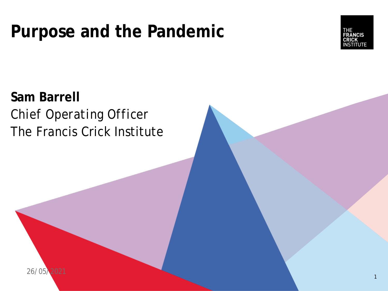# **Purpose and the Pandemic**



**Sam Barrell** *Chief Operating Officer* The Francis Crick Institute

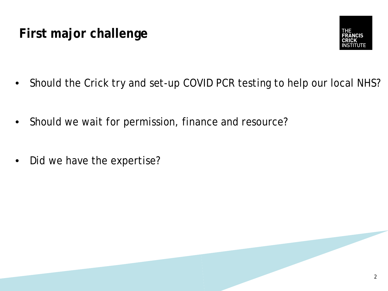# **First major challenge**



- Should the Crick try and set-up COVID PCR testing to help our local NHS?
- Should we wait for permission, finance and resource?
- Did we have the expertise?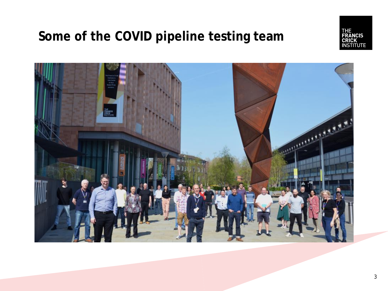# **Some of the COVID pipeline testing team**



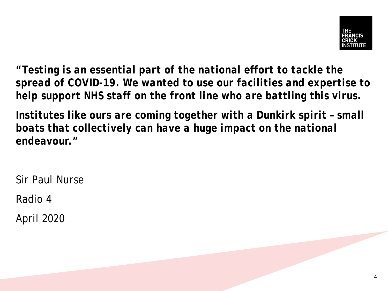

*"Testing is an essential part of the national effort to tackle the spread of COVID-19. We wanted to use our facilities and expertise to help support NHS staff on the front line who are battling this virus.*

*Institutes like ours are coming together with a Dunkirk spirit – small boats that collectively can have a huge impact on the national endeavour."*

*Sir Paul Nurse*

Radio 4

April 2020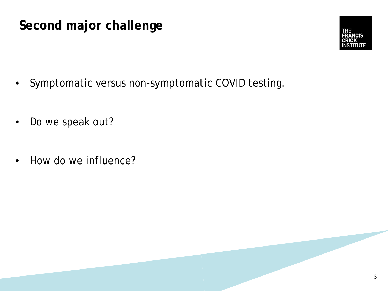## **Second major challenge**



- Symptomatic versus non-symptomatic COVID testing.
- Do we speak out?
- How do we influence?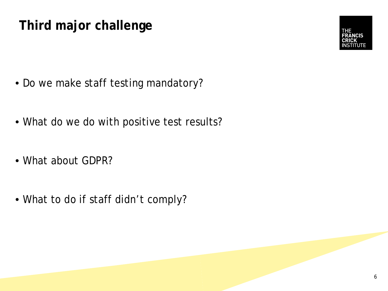# **Third major challenge**

- Do we make staff testing mandatory?
- What do we do with positive test results?
- What about GDPR?
- What to do if staff didn't comply?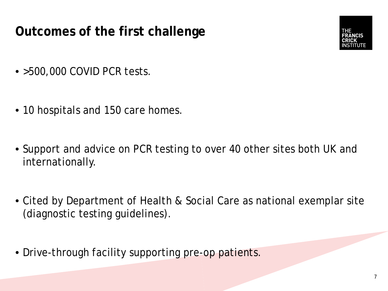# **Outcomes of the first challenge**



- > 500,000 COVID PCR tests.
- 10 hospitals and 150 care homes.
- Support and advice on PCR testing to over 40 other sites both UK and internationally.
- Cited by Department of Health & Social Care as national exemplar site (diagnostic testing guidelines).
- Drive-through facility supporting pre-op patients.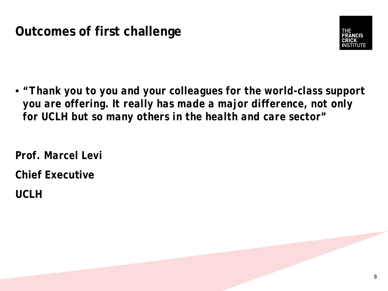#### **Outcomes of first challenge**



• *"Thank you to you and your colleagues for the world-class support you are offering. It really has made a major difference, not only for UCLH but so many others in the health and care sector"*

*Prof. Marcel Levi*

**Chief Executive**

**UCLH**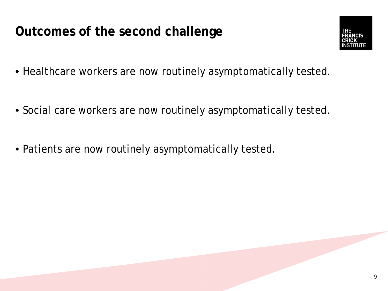**Outcomes of the second challenge**



- Healthcare workers are now routinely asymptomatically tested.
- Social care workers are now routinely asymptomatically tested.
- Patients are now routinely asymptomatically tested.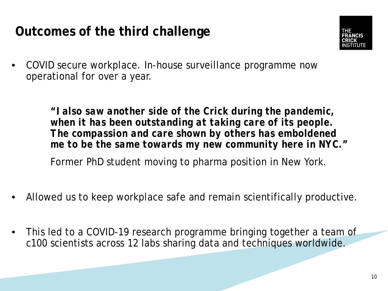## **Outcomes of the third challenge**



• COVID secure workplace. In-house surveillance programme now operational for over a year.

> *"I also saw another side of the Crick during the pandemic, when it has been outstanding at taking care of its people. The compassion and care shown by others has emboldened me to be the same towards my new community here in NYC."*  Former PhD student moving to pharma position in New York.

- Allowed us to keep workplace safe and remain scientifically productive.
- This led to a COVID-19 research programme bringing together a team of c100 scientists across 12 labs sharing data and techniques worldwide.